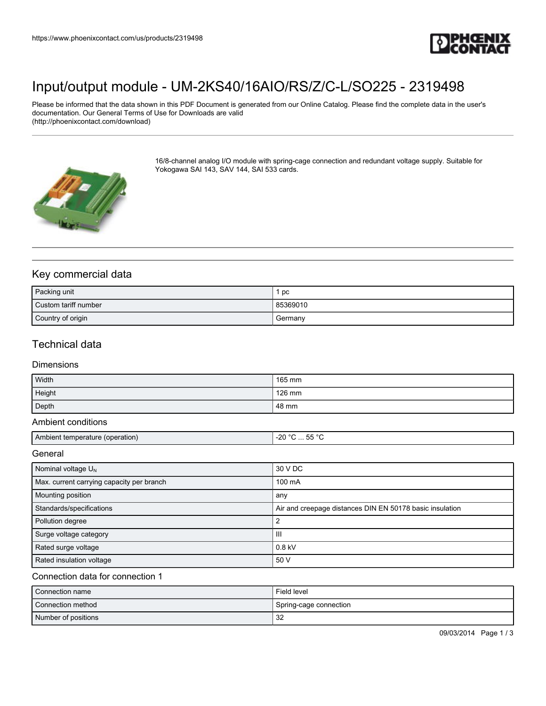

# [Input/output module - UM-2KS40/16AIO/RS/Z/C-L/SO225 - 2319498](https://www.phoenixcontact.com/us/products/2319498)

Please be informed that the data shown in this PDF Document is generated from our Online Catalog. Please find the complete data in the user's documentation. Our General Terms of Use for Downloads are valid (http://phoenixcontact.com/download)



16/8-channel analog I/O module with spring-cage connection and redundant voltage supply. Suitable for Yokogawa SAI 143, SAV 144, SAI 533 cards.

### Key commercial data

| Packing unit         | pc       |
|----------------------|----------|
| Custom tariff number | 85369010 |
| Country of origin    | Germany  |

## Technical data

#### Dimensions

| Width  | 165 mm |
|--------|--------|
| Height | 126 mm |
| Depth  | 48 mm  |

#### Ambient conditions

|  | Amr<br>eration:<br>、ヘ<br>ature<br>.<br> | $\sim$<br>റഢ<br>.<br>∼<br>$\sim$ $\sim$<br>$\sim$ $\sim$ $\sim$ $\sim$ $\sim$ $\sim$ |
|--|-----------------------------------------|--------------------------------------------------------------------------------------|
|--|-----------------------------------------|--------------------------------------------------------------------------------------|

General

| Nominal voltage $U_N$                     | 30 V DC                                                  |
|-------------------------------------------|----------------------------------------------------------|
| Max. current carrying capacity per branch | 100 mA                                                   |
| Mounting position                         | any                                                      |
| Standards/specifications                  | Air and creepage distances DIN EN 50178 basic insulation |
| Pollution degree                          |                                                          |
| Surge voltage category                    | Ш                                                        |
| Rated surge voltage                       | $0.8$ kV                                                 |
| Rated insulation voltage                  | 50 V                                                     |

#### Connection data for connection 1

| Connection name     | Field level            |
|---------------------|------------------------|
| Connection method   | Spring-cage connection |
| Number of positions | 32                     |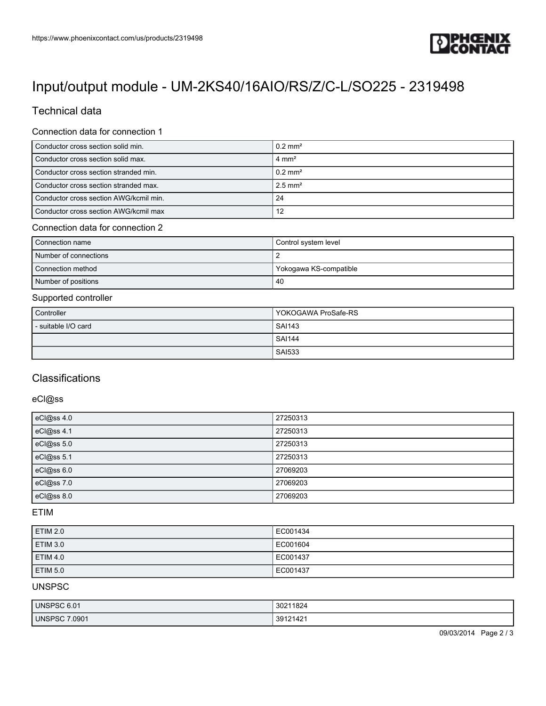

# [Input/output module - UM-2KS40/16AIO/RS/Z/C-L/SO225 - 2319498](https://www.phoenixcontact.com/us/products/2319498)

## Technical data

#### Connection data for connection 1

| Conductor cross section solid min.     | $0.2$ mm <sup>2</sup> |
|----------------------------------------|-----------------------|
| Conductor cross section solid max.     | $4 \text{ mm}^2$      |
| Conductor cross section stranded min.  | $0.2$ mm <sup>2</sup> |
| Conductor cross section stranded max.  | $2.5$ mm <sup>2</sup> |
| Conductor cross section AWG/kcmil min. | 24                    |
| Conductor cross section AWG/kcmil max  | 12                    |

#### Connection data for connection 2

| Connection name       | Control system level   |
|-----------------------|------------------------|
| Number of connections |                        |
| Connection method     | Yokogawa KS-compatible |
| Number of positions   | -40                    |

#### Supported controller

| Controller          | YOKOGAWA ProSafe-RS |
|---------------------|---------------------|
| - suitable I/O card | <b>SAI143</b>       |
|                     | <b>SAI144</b>       |
|                     | <b>SAI533</b>       |

### **Classifications**

#### eCl@ss

| eCl@ss 4.0 | 27250313 |
|------------|----------|
| eCl@ss 4.1 | 27250313 |
| eCl@ss 5.0 | 27250313 |
| eCl@ss 5.1 | 27250313 |
| eCl@ss 6.0 | 27069203 |
| eCl@ss 7.0 | 27069203 |
| eCl@ss 8.0 | 27069203 |

#### ETIM

| <b>ETIM 2.0</b> | EC001434 |
|-----------------|----------|
| <b>ETIM 3.0</b> | EC001604 |
| <b>ETIM 4.0</b> | EC001437 |
| <b>ETIM 5.0</b> | EC001437 |

### UNSPSC

| UNSPSC 6.01 | 1824<br>3021 |
|-------------|--------------|
| 7.0901      | 39121421     |
| UNSPSC      |              |